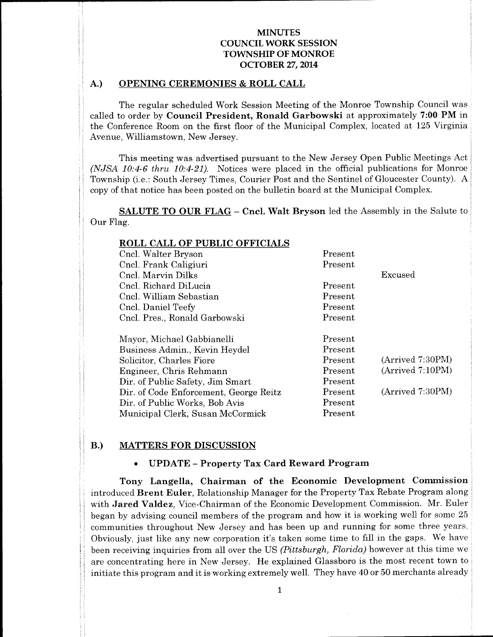# A.) OPENING CEREMONIES & ROLL CALL

The regular scheduled Work Session Meeting of the Monroe Township Council was called to order by Council President, Ronald Garbowski at approximately 7:00 PM in the Conference Room on the first floor of the Municipal Complex, located at 125 Virginia Avenue, Williamstown, New Jersey.

This meeting was advertised pursuant to the New Jersey Open Public Meetings Act  $(NJSA 10:4-6$  thru  $10:4-21$ ). Notices were placed in the official publications for Monroe Township (i.e.: South Jersey Times, Courier Post and the Sentinel of Gloucester County). A copy of that notice has been posted on the bulletin board at the Municipal Complex.

SALUTE TO OUR FLAG — Cncl. Walt Bryson led the Assembly in the Salute to Our Flag.

| ROLL CALL OF PUBLIC OFFICIALS          |         |                  |
|----------------------------------------|---------|------------------|
| Cncl. Walter Bryson                    | Present |                  |
| Cncl. Frank Caligiuri                  | Present |                  |
| Cncl. Marvin Dilks                     |         | Excused          |
| Cncl. Richard DiLucia                  | Present |                  |
| Cncl. William Sebastian                | Present |                  |
| Cncl. Daniel Teefy                     | Present |                  |
| Cncl. Pres., Ronald Garbowski          | Present |                  |
|                                        |         |                  |
| Mayor, Michael Gabbianelli             | Present |                  |
| Business Admin., Kevin Heydel          | Present |                  |
| Solicitor, Charles Fiore               | Present | (Arrived 7:30PM) |
| Engineer, Chris Rehmann                | Present | (Arrived 7:10PM) |
| Dir. of Public Safety, Jim Smart       | Present |                  |
| Dir. of Code Enforcement, George Reitz | Present | (Arrived 7:30PM) |
| Dir. of Public Works, Bob Avis         | Present |                  |
| Municipal Clerk, Susan McCormick       | Present |                  |

### B.) MATTERS FOR DISCUSSION

#### UPDATE — Property Tax Card Reward Program  $\bullet$

Tony Langella, Chairman of the Economic Development Commission introduced Brent Euler, Relationship Manager for the Property Tax Rebate Program along with Jared Valdez, Vice-Chairman of the Economic Development Commission. Mr. Euler began by advising council members of the program and how it is working well for some <sup>25</sup> communities throughout New Jersey and has been up and running for some three years. Obviously, just like any new corporation it'<sup>s</sup> taken some time to fill in the gaps. We have been receiving inquiries from all over the US (Pittsburgh, Florida) however at this time we are concentrating here in New Jersey. He explained Glassboro is the most recent town to initiate this program and it is working extremely well. They have <sup>40</sup> or <sup>50</sup> merchants already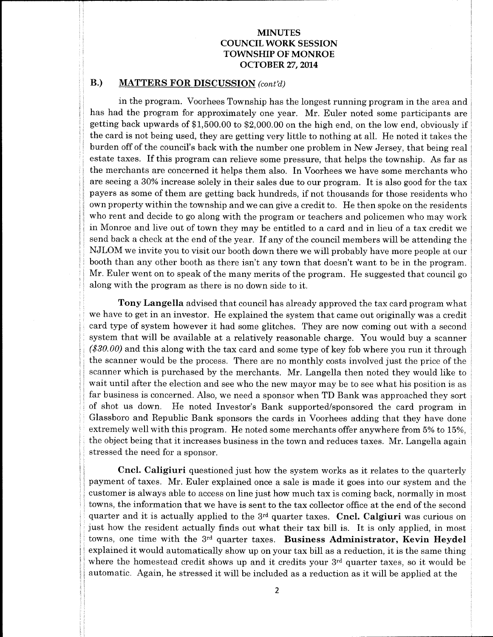# B.) MATTERS FOR DISCUSSION (cont'd)

in the program. Voorhees Township has the longest running program in the area and has had the program for approximately one year. Mr. Euler noted some participants are getting back upwards of\$ 1, 500. <sup>00</sup> to \$2, 000.00 on the high end, on the low end, obviously if the card is not being used, they are getting very little to nothing at all. He noted it takes the burden off of the council's back with the number one problem in New Jersey, that being real estate taxes. If this program can relieve some pressure, that helps the township. As far as the merchants are concerned it helps them also. In Voorhees we have some merchants who are seeing <sup>a</sup> 30% increase solely in their sales due to our program. It is also good for the tax payers as some of them are getting back hundreds, if not thousands for those residents who own property within the township and we can give <sup>a</sup> credit to. He then spoke on the residents who rent and decide to go along with the program or teachers and policemen who may work in Monroe and live out of town they may be entitled to a card and in lieu of a tax credit we send back <sup>a</sup> check at the end of the year. If any of the council members will be attending the NJLOM we invite you to visit our booth down there we will probably have more people at our booth than any other booth as there isn't any town that doesn't want to be in the program. Mr. Euler went on to speak of the many merits of the program. He suggested that council go along with the program as there is no down side to it.

Tony Langella advised that council has already approved the tax card program what we have to get in an investor. He explained the system that came out originally was a credit card type of system however it had some glitches. They are now coming out with <sup>a</sup> second system that will be available at <sup>a</sup> relatively reasonable charge. You would buy <sup>a</sup> scanner  $$30.00$$  and this along with the tax card and some type of key fob where you run it through the scanner would be the process. There are no monthly costs involved just the price of the scanner which is purchased by the merchants. Mr. Langella then noted they would like to wait until after the election and see who the new mayor may be to see what his position is as far business is concerned. Also, we need a sponsor when TD Bank was approached they sort of shot us down. He noted Investor's Bank supported/sponsored the card program in Glassboro and Republic Bank sponsors the cards in Voorhees adding that they have done extremely well with this program. He noted some merchants offer anywhere from 5% to 15%, the object being that it increases business in the town and reduces taxes. Mr. Langella again stressed the need for a sponsor.

Cncl. Caligiuri questioned just how the system works as it relates to the quarterly payment of taxes. Mr. Euler explained once <sup>a</sup> sale is made it goes into our system and the customer is always able to access on line just how much tax is coming back, normally in most towns, the information that we have is sent to the tax collector office at the end of the second quarter and it is actually applied to the  $3<sup>rd</sup>$  quarter taxes. Cncl. Calgiuri was curious on just how the resident actually finds out what their tax bill is. It is only applied, in most towns, one time with the 3<sup>rd</sup> quarter taxes. Business Administrator, Kevin Heydel explained it would automatically show up on your tax bill as <sup>a</sup> reduction, it is the same thing where the homestead credit shows up and it credits your 3<sup>rd</sup> quarter taxes, so it would be automatic. Again, he stressed it will be included as <sup>a</sup> reduction as it will be applied at the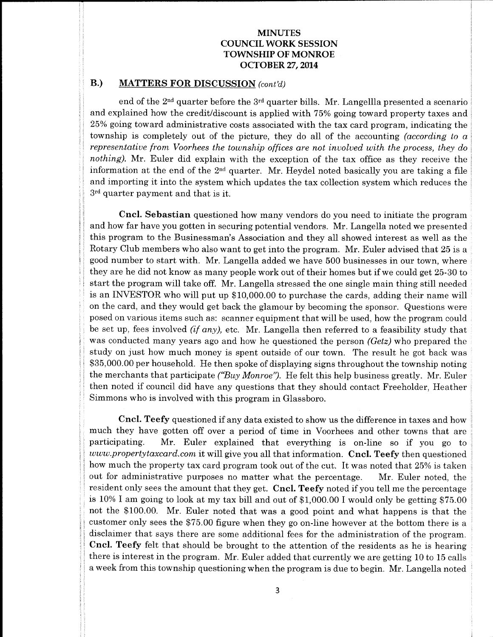# B.) MATTERS FOR DISCUSSION (cont'd)

end of the 2nd quarter before the 3rd quarter bills. Mr. Langellla presented <sup>a</sup> scenario and explained how the credit/discount is applied with 75% going toward property taxes and 25% going toward administrative costs associated with the tax card program, indicating the township is completely out of the picture, they do all of the accounting ( $according\ to\ a$ representative from Voorhees the township offices are not involved with the process, they do nothing). Mr. Euler did explain with the exception of the tax office as they receive the information at the end of the  $2^{\text{nd}}$  quarter.  $\,$  Mr. Heydel noted basically you are taking a file and importing it into the system which updates the tax collection system which reduces the 3rd quarter payment and that is it.

Cncl. Sebastian questioned how many vendors do you need to initiate the program and how far have you gotten in securing potential vendors. Mr. Langella noted we presented this program to the Businessman's Association and they all showed interest as well as the Rotary Club members who also want to get into the program. Mr. Euler advised that 25 is a good number to start with. Mr. Langella added we have 500 businesses in our town, where they are he did not know as many people work out of their homes but if we could get 25-30 to start the program will take off. Mr. Langella stressed the one single main thing still needed is an INVESTOR who will put up \$10,000.00 to purchase the cards, adding their name will on the card, and they would get back the glamour by becoming the sponsor. Questions were posed on various items such as: scanner equipment that will be used, how the program could be set up, fees involved  $(i f any)$ , etc. Mr. Langella then referred to a feasibility study that was conducted many years ago and how he questioned the person  $(Getz)$  who prepared the study on just how much money is spent outside of our town. The result he got back was 35, 000.00 per household. He then spoke of displaying signs throughout the township noting the merchants that participate ("Buy Monroe"). He felt this help business greatly. Mr. Euler then noted if council did have any questions that they should contact Freeholder, Heather Simmons who is involved with this program in Glassboro.

Cncl. Teefy questioned if any data existed to show us the difference in taxes and how much they have gotten off over a period of time in Voorhees and other towns that are participating. Mr. Euler explained that everything is on-line so if you go to www.propertytaxcard.com it will give you all that information. Cncl. Teefy then questioned how much the property tax card program took out of the cut. It was noted that 25% is taken out for administrative purposes no matter what the percentage. Mr. Euler noted, the resident only sees the amount that they get. Cncl. Teefy noted if you tell me the percentage is 10% I am going to look at my tax bill and out of  $$1,000.00$  I would only be getting  $$75.00$ not the \$100.00. Mr. Euler noted that was a good point and what happens is that the customer only sees the \$75.00 figure when they go on-line however at the bottom there is a disclaimer that says there are some additional fees for the administration of the program. Cncl. Teefy felt that should be brought to the attention of the residents as he is hearing there is interest in the program. Mr. Euler added that currently we are getting 10 to 15 calls a week from this township questioning when the program is due to begin. Mr. Langella noted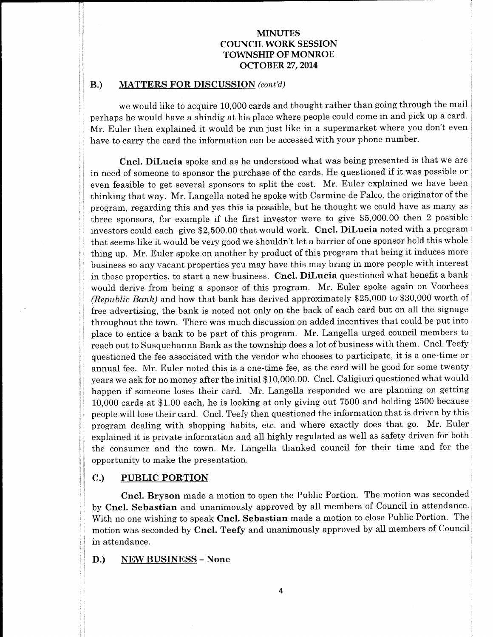# B.) MATTERS FOR DISCUSSION (cont'd)

we would like to acquire 10,000 cards and thought rather than going through the mail perhaps he would have a shindig at his place where people could come in and pick up a card. Mr. Euler then explained it would be run just like in <sup>a</sup> supermarket where you don't even have to carry the card the information can be accessed with your phone number.

Cncl. DiLucia spoke and as he understood what was being presented is that we are in need of someone to sponsor the purchase of the cards. He questioned if it was possible or even feasible to get several sponsors to split the cost. Mr. Euler explained we have been thinking that way. Mr. Langella noted he spoke with Carmine de Falco, the originator of the program, regarding this and yes this is possible, but he thought we could have as many as three sponsors, for example if the first investor were to give  $$5,000.00$  then 2 possible investors could each give \$2,500.00 that would work. Cncl. DiLucia noted with a program that seems like it would be very good we shouldn't let <sup>a</sup> barrier of one sponsor hold this whole thing up. Mr. Euler spoke on another by product of this program that being it induces more business so any vacant properties you may have this may bring in more people with interest in those properties, to start <sup>a</sup> new business. Cncl. DiLucia questioned what benefit <sup>a</sup> bank would derive from being <sup>a</sup> sponsor of this program. Mr. Euler spoke again on Voorhees (Republic Bank) and how that bank has derived approximately \$25,000 to \$30,000 worth of free advertising, the bank is noted not only on the back of each card but on all the signage throughout the town. There was much discussion on added incentives that could be put into place to entice a bank to be part of this program. Mr. Langella urged council members to reach out to Susquehanna Bank as the township does a lot of business with them. Cncl. Teefy questioned the fee associated with the vendor who chooses to participate, it is a one-time or annual fee. Mr. Euler noted this is <sup>a</sup> one-time fee, as the card will be good for some twenty years we ask for no money after the initial \$10,000.00. Cncl. Caligiuri questioned what would happen if someone loses their card. Mr. Langella responded we are planning on getting 10,000 cards at \$1.00 each, he is looking at only giving out 7500 and holding 2500 because people will lose their card. Cncl. Teefy then questioned the information that is driven by this program dealing with shopping habits, etc. and where exactly does that go. Mr. Euler explained it is private information and all highly regulated as well as safety driven for both the consumer and the town. Mr. Langella thanked council for their time and for the opportunity to make the presentation.

# C.) PUBLIC PORTION

Cncl. Bryson made <sup>a</sup> motion to open the Public Portion. The motion was seconded by Cncl. Sebastian and unanimously approved by all members of Council in attendance. With no one wishing to speak Cncl. Sebastian made a motion to close Public Portion. The motion was seconded by Cncl. Teefy and unanimously approved by all members of Council in attendance.

D.) NEW BUSINESS— None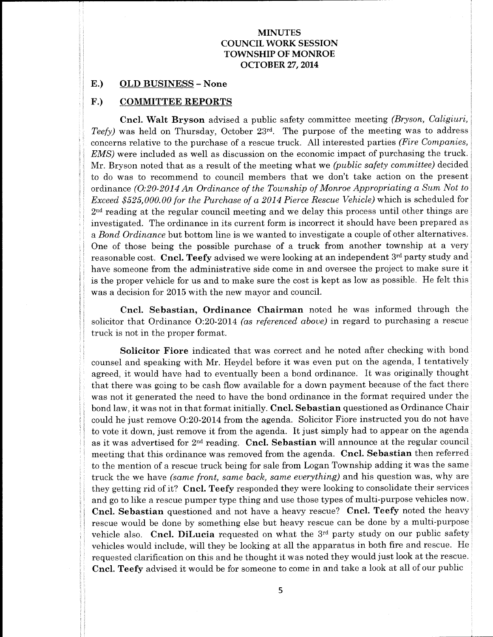#### E.) OLD BUSINESS— None

# F.) COMMITTEE REPORTS

Cncl. Walt Bryson advised a public safety committee meeting (Bryson, Caligiuri, Teefy) was held on Thursday, October  $23<sup>rd</sup>$ . The purpose of the meeting was to address concerns relative to the purchase of a rescue truck. All interested parties (Fire Companies, EMS) were included as well as discussion on the economic impact of purchasing the truck. Mr. Bryson noted that as a result of the meeting what we (public safety committee) decided to do was to recommend to council members that we don't take action on the present ordinance (0:20-2014 An Ordinance of the Township of Monroe Appropriating a Sum Not to Exceed \$525,000.00 for the Purchase of a 2014 Pierce Rescue Vehicle) which is scheduled for  $2<sup>nd</sup>$  reading at the regular council meeting and we delay this process until other things are investigated. The ordinance in its current form is incorrect it should have been prepared as a Bond Ordinance but bottom line is we wanted to investigate a couple of other alternatives. One of those being the possible purchase of a truck from another township at a very reasonable cost. Cncl. Teefy advised we were looking at an independent 3rd party study and have someone from the administrative side come in and oversee the project to make sure it is the proper vehicle for us and to make sure the cost is kept as low as possible. He felt this was a decision for 2015 with the new mayor and council.

Cncl. Sebastian, Ordinance Chairman noted he was informed through the solicitor that Ordinance  $O:20-2014$  (as referenced above) in regard to purchasing a rescue truck is not in the proper format.

Solicitor Fiore indicated that was correct and he noted after checking with bond counsel and speaking with Mr. Heydel before it was even put on the agenda, I tentatively agreed, it would have had to eventually been <sup>a</sup> bond ordinance. It was originally thought that there was going to be cash flow available for a down payment because of the fact there was not it generated the need to have the bond ordinance in the format required under the bond law, it was not in that format initially. Cncl. Sebastian questioned as Ordinance Chair could he just remove 0:20-2014 from the agenda. Solicitor Fiore instructed you do not have to vote it down, just remove it from the agenda. It just simply had to appear on the agenda as it was advertised for  $2^{\text{nd}}$  reading.  $\,$  Cncl. Sebastian will announce at the regular council meeting that this ordinance was removed from the agenda. Cncl. Sebastian then referred to the mention of <sup>a</sup> rescue truck being for sale from Logan Township adding it was the same truck the we have (same front, same back, same everything) and his question was, why are they getting rid of it? Cncl. Teefy responded they were looking to consolidate their services and go to like <sup>a</sup> rescue pumper type thing and use those types of multi-purpose vehicles now. Cncl. Sebastian questioned and not have a heavy rescue? Cncl. Teefy noted the heavy rescue would be done by something else but heavy rescue can be done by a multi-purpose vehicle also. Cncl. DiLucia requested on what the 3rd party study on our public safety vehicles would include, will they be looking at all the apparatus in both fire and rescue. He requested clarification on this and he thought it was noted they would just look at the rescue. Cncl. Teefy advised it would be for someone to come in and take <sup>a</sup> look at all of our public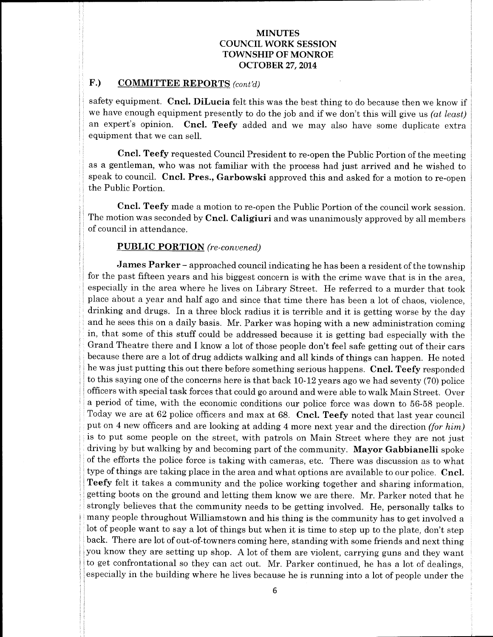# F.) COMMITTEE REPORTS (cont'd)

safety equipment. Cncl. DiLucia felt this was the best thing to do because then we know if we have enough equipment presently to do the job and if we don't this will give us (at least) an expert's opinion. Cncl. Teefy added and we may also have some duplicate extra equipment that we can sell.

Cncl. Teefy requested Council President to re-open the Public Portion of the meeting as a gentleman, who was not familiar with the process had just arrived and he wished to speak to council. Cncl. Pres., Garbowski approved this and asked for <sup>a</sup> motion to re-open the Public Portion.

Cncl. Teefy made a motion to re-open the Public Portion of the council work session. The motion was seconded by Cncl. Caligiuri and was unanimously approved by all members of council in attendance.

# PUBLIC PORTION (re-convened)

James Parker – approached council indicating he has been a resident of the township for the past fifteen years and his biggest concern is with the crime wave that is in the area, especially in the area where he lives on Library Street. He referred to <sup>a</sup> murder that took place about a year and half ago and since that time there has been a lot of chaos, violence, drinking and drugs. In <sup>a</sup> three block radius it is terrible and it is getting worse by the day and he sees this on a daily basis. Mr. Parker was hoping with a new administration coming in, that some of this stuff could be addressed because it is getting bad especially with the Grand Theatre there and I know <sup>a</sup> lot of those people don't feel safe getting out of their cars because there are a lot of drug addicts walking and all kinds of things can happen. He noted he was just putting this out there before something serious happens. Cncl. Teefy responded to this saying one of the concerns here is that back  $10-12$  years ago we had seventy (70) police officers with special task forces that could go around and were able to walk Main Street. Over <sup>a</sup> period of time, with the economic conditions our police force was down to 56-58 people. Today we are at 62 police officers and max at 68. Cncl. Teefy noted that last year council put on 4 new officers and are looking at adding 4 more next year and the direction *(for him)* is to put some people on the street, with patrols on Main Street where they are not just driving by but walking by and becoming part of the community. Mayor Gabbianelli spoke of the efforts the police force is taking with cameras, etc. There was discussion as to what type of things are taking place in the area and what options are available to our police. Cncl. Teefy felt it takes <sup>a</sup> community and the police working together and sharing information, getting boots on the ground and letting them know we are there. Mr. Parker noted that he strongly believes that the community needs to be getting involved. He, personally talks to many people throughout Williamstown and his thing is the community has to get involved a lot of people want to say <sup>a</sup> lot of things but when it is time to step up to the plate, don't step back. There are lot of out-of-towners coming here, standing with some friends and next thing you know they are setting up shop. A lot of them are violent, carrying guns and they want to get confrontational so they can act out. Mr. Parker continued, he has <sup>a</sup> lot of dealings, especially in the building where he lives because he is running into a lot of people under the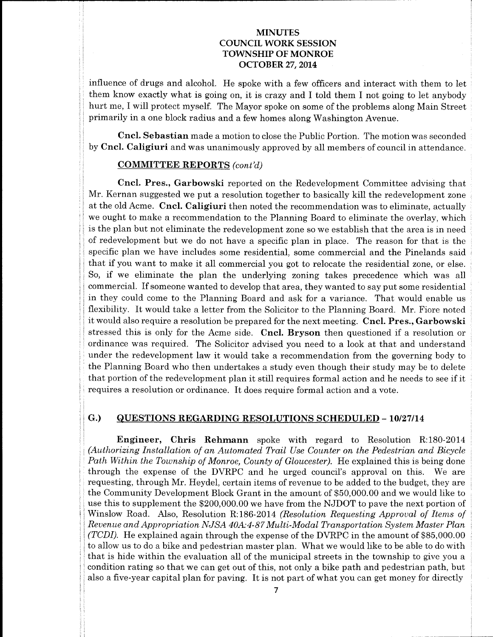influence of drugs and alcohol. He spoke with <sup>a</sup> few officers and interact with them to let them know exactly what is going on, it is crazy and I told them I not going to let anybody hurt me, I will protect myself. The Mayor spoke on some of the problems along Main Street primarily in a one block radius and a few homes along Washington Avenue.

Cncl. Sebastian made a motion to close the Public Portion. The motion was seconded by Cncl. Caligiuri and was unanimously approved by all members of council in attendance.

## COMMITTEE REPORTS (cont'd)

Cncl. Pres., Garbowski reported on the Redevelopment Committee advising that Mr. Kernan suggested we put <sup>a</sup> resolution together to basically kill the redevelopment zone at the old Acme. Cncl. Caligiuri then noted the recommendation was to eliminate, actually we ought to make a recommendation to the Planning Board to eliminate the overlay, which is the plan but not eliminate the redevelopment zone so we establish that the area is in need of redevelopment but we do not have a specific plan in place. The reason for that is the specific plan we have includes some residential, some commercial and the Pinelands said that if you want to make it all commercial you got to relocate the residential zone, or else. So, if we eliminate the plan the underlying zoning takes precedence which was all commercial. If someone wanted to develop that area, they wanted to say put some residential in they could come to the Planning Board and ask for <sup>a</sup> variance. That would enable us flexibility. It would take <sup>a</sup> letter from the Solicitor to the Planning Board. Mr. Fiore noted it would also require <sup>a</sup> resolution be prepared for the next meeting. Cncl. Pres., Garbowski stressed this is only for the Acme side. Cncl. Bryson then questioned if <sup>a</sup> resolution or ordinance was required. The Solicitor advised you need to a look at that and understand under the redevelopment law it would take <sup>a</sup> recommendation from the governing body to the Planning Board who then undertakes a study even though their study may be to delete that portion of the redevelopment plan it still requires formal action and he needs to see if it requires <sup>a</sup> resolution or ordinance. It does require formal action and <sup>a</sup> vote.

# G.) QUESTIONS REGARDING RESOLUTIONS SCHEDULED - 10/27/14

**Engineer, Chris Rehmann** spoke with regard to Resolution R:180-2014 Authorizing Installation of an Automated Trail Use Counter on the Pedestrian and Bicycle Path Within the Township of Monroe, County of Gloucester). He explained this is being done through the expense of the DVRPC and he urged council's approval on this. We are requesting, through Mr. Heydel, certain items of revenue to be added to the budget, they are the Community Development Block Grant in the amount of \$50,000.00 and we would like to use this to supplement the \$200,000.00 we have from the NJDOT to pave the next portion of Winslow Road. Also, Resolution R:186-2014 (Resolution Requesting Approval of Items of Revenue and Appropriation NJSA 40A:4-87 Multi-Modal Transportation System Master Plan (TCDI). He explained again through the expense of the DVRPC in the amount of \$85,000.00 to allow us to do a bike and pedestrian master plan. What we would like to be able to do with that is hide within the evaluation all of the municipal streets in the township to give you <sup>a</sup> condition rating so that we can get out of this, not only a bike path and pedestrian path, but also <sup>a</sup> five-year capital plan for paving. It is not part of what you can get money for directly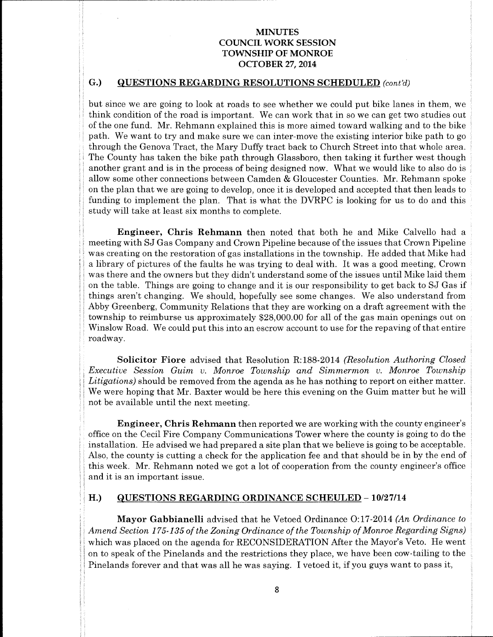# G.) QUESTIONS REGARDING RESOLUTIONS SCHEDULED (cont'd)

but since we are going to look at roads to see whether we could put bike lanes in them, we think condition of the road is important. We can work that in so we can get two studies out of the one fund. Mr. Rehmann explained this is more aimed toward walking and to the bike path. We want to try and make sure we can inter-move the existing interior bike path to go through the Genova Tract, the Mary Duffy tract back to Church Street into that whole area. The County has taken the bike path through Glassboro, then taking it further west though another grant and is in the process of being designed now. What we would like to also do is allow some other connections between Camden & Gloucester Counties. Mr. Rehmann spoke on the plan that we are going to develop, once it is developed and accepted that then leads to funding to implement the plan. That is what the DVRPC is looking for us to do and this study will take at least six months to complete.

Engineer, Chris Rehmann then noted that both he and Mike Calvello had <sup>a</sup> meeting with SJ Gas Company and Crown Pipeline because of the issues that Crown Pipeline was creating on the restoration of gas installations in the township. He added that Mike had <sup>a</sup> library of pictures of the faults he was trying to deal with. It was <sup>a</sup> good meeting, Crown was there and the owners but they didn't understand some of the issues until Mike laid them on the table. Things are going to change and it is our responsibility to get back to SJ Gas if things aren't changing. We should, hopefully see some changes. We also understand from Abby Greenberg, Community Relations that they are working on a draft agreement with the township to reimburse us approximately \$28,000.00 for all of the gas main openings out on Winslow Road. We could put this into an escrow account to use for the repaving of that entire roadway.

Solicitor Fiore advised that Resolution R:188-2014 (Resolution Authoring Closed Executive Session Guim v. Monroe Township and Simmermon v. Monroe Township Litigations) should be removed from the agenda as he has nothing to report on either matter. We were hoping that Mr. Baxter would be here this evening on the Guim matter but he will not be available until the next meeting.

Engineer, Chris Rehmann then reported we are working with the county engineer's office on the Cecil Fire Company Communications Tower where the county is going to do the installation. He advised we had prepared a site plan that we believe is going to be acceptable. Also, the county is cutting <sup>a</sup> check for the application fee and that should be in by the end of this week. Mr. Rehmann noted we got <sup>a</sup> lot of cooperation from the county engineer's office and it is an important issue.

#### H.) QUESTIONS REGARDING ORDINANCE SCHEULED - 10/27/14

Mayor Gabbianelli advised that he Vetoed Ordinance O:17-2014 (An Ordinance to Amend Section 175-135 of the Zoning Ordinance of the Township of Monroe Regarding Signs) which was placed on the agenda for RECONSIDERATION After the Mayor's Veto. He went on to speak of the Pinelands and the restrictions they place, we have been cow-tailing to the Pinelands forever and that was all he was saying. I vetoed it, if you guys want to pass it,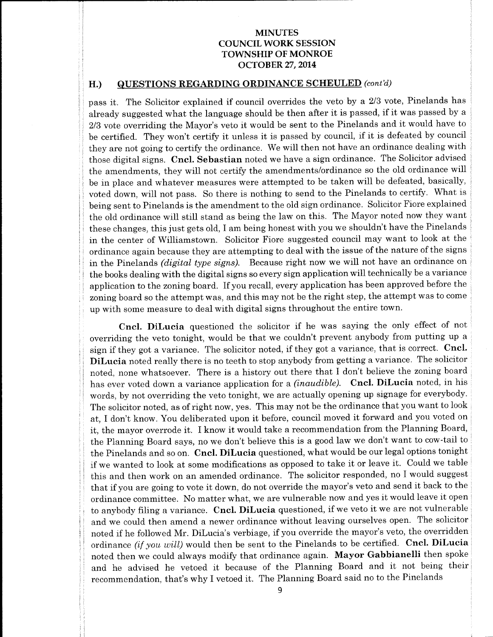# H.) QUESTIONS REGARDING ORDINANCE SCHEULED (cont'd)

pass it. The Solicitor explained if council overrides the veto by a 2/3 vote, Pinelands has already suggested what the language should be then after it is passed, if it was passed by <sup>a</sup> 2/3 vote overriding the Mayor's veto it would be sent to the Pinelands and it would have to be certified. They won't certify it unless it is passed by council, if it is defeated by council they are not going to certify the ordinance. We will then not have an ordinance dealing with those digital signs. Cncl. Sebastian noted we have a sign ordinance. The Solicitor advised the amendments, they will not certify the amendments/ordinance so the old ordinance will be in place and whatever measures were attempted to be taken will be defeated, basically, voted down, will not pass. So there is nothing to send to the Pinelands to certify. What is being sent to Pinelands is the amendment to the old sign ordinance. Solicitor Fiore explained the old ordinance will still stand as being the law on this. The Mayor noted now they want these changes, this just gets old, I am being honest with you we shouldn't have the Pinelands in the center of Williamstown. Solicitor Fiore suggested council may want to look at the ordinance again because they are attempting to deal with the issue of the nature of the signs in the Pinelands (digital type signs). Because right now we will not have an ordinance on the books dealing with the digital signs so every sign application will technically be <sup>a</sup> variance application to the zoning board. If you recall, every application has been approved before the zoning board so the attempt was, and this may not be the right step, the attempt was to come up with some measure to deal with digital signs throughout the entire town.

Cncl. DiLucia questioned the solicitor if he was saying the only effect of not overriding the veto tonight, would be that we couldn't prevent anybody from putting up <sup>a</sup> sign if they got <sup>a</sup> variance. The solicitor noted, if they got <sup>a</sup> variance, that is correct. Cncl. DiLucia noted really there is no teeth to stop anybody from getting a variance. The solicitor noted, none whatsoever. There is a history out there that I don't believe the zoning board has ever voted down a variance application for a *(inaudible)*. Cncl. DiLucia noted, in his words, by not overriding the veto tonight, we are actually opening up signage for everybody. The solicitor noted, as of right now, yes. This may not be the ordinance that you want to look at, I don't know. You deliberated upon it before, council moved it forward and you voted on it, the mayor overrode it. I know it would take <sup>a</sup> recommendation from the Planning Board, the Planning Board says, no we don't believe this is a good law we don't want to cow-tail to the Pinelands and so on. Cncl. DiLucia questioned, what would be our legal options tonight if we wanted to look at some modifications as opposed to take it or leave it. Could we table this and then work on an amended ordinance. The solicitor responded, no I would suggest that if you are going to vote it down, do not override the mayor's veto and send it back to the ordinance committee. No matter what, we are vulnerable now and yes it would leave it open to anybody filing a variance. Cncl. DiLucia questioned, if we veto it we are not vulnerable and we could then amend <sup>a</sup> newer ordinance without leaving ourselves open. The solicitor noted if he followed Mr. DiLucia's verbiage, if you override the mayor's veto, the overridden ordinance (if you will) would then be sent to the Pinelands to be certified. Cncl. DiLucia noted then we could always modify that ordinance again. Mayor Gabbianelli then spoke and he advised he vetoed it because of the Planning Board and it not being their recommendation, that's why I vetoed it. The Planning Board said no to the Pinelands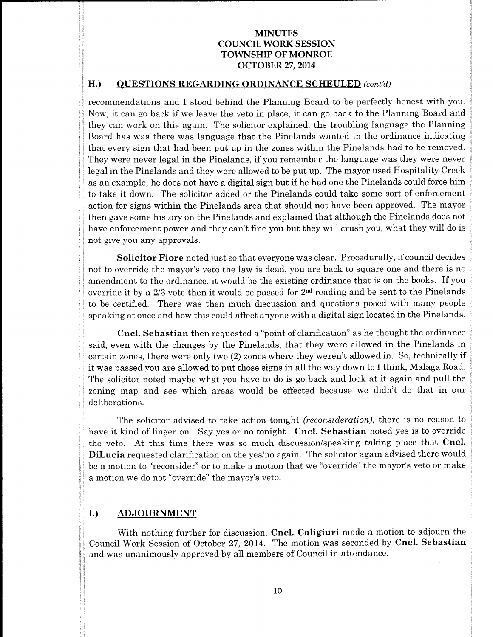#### H.) QUESTIONS REGARDING ORDINANCE SCHEULED (cont'd)

recommendations and I stood behind the Planning Board to be perfectly honest with you. Now, it can go back if we leave the veto in place, it can go back to the Planning Board and they can work on this again. The solicitor explained, the troubling language the Planning Board has was there was language that the Pinelands wanted in the ordinance indicating that every sign that had been put up in the zones within the Pinelands had to be removed. They were never legal in the Pinelands, if you remember the language was they were never legal in the Pinelands and they were allowed to be put up. The mayor used Hospitality Creek as an example, he does not have <sup>a</sup> digital sign but if he had one the Pinelands could force him to take it down. The solicitor added or the Pinelands could take some sort of enforcement action for signs within the Pinelands area that should not have been approved. The mayor then gave some history on the Pinelands and explained that although the Pinelands does not have enforcement power and they can't fine you but they will crush you, what they will do is not give you any approvals.

Solicitor Fiore noted just so that everyone was clear. Procedurally, if council decides not to override the mayor's veto the law is dead, you are back to square one and there is no amendment to the ordinance, it would be the existing ordinance that is on the books. If you override it by a  $2/3$  vote then it would be passed for  $2<sup>nd</sup>$  reading and be sent to the Pinelands to be certified. There was then much discussion and questions posed with many people speaking at once and how this could affect anyone with a digital sign located in the Pinelands.

Cncl. Sebastian then requested a" point of clarification" as he thought the ordinance said, even with the changes by the Pinelands, that they were allowed in the Pinelands in certain zones, there were only two (2) zones where they weren't allowed in. So, technically if it was passed you are allowed to put those signs in all the way down to I think, Malaga Road. The solicitor noted maybe what you have to do is go back and look at it again and pull the zoning map and see which areas would be effected because we didn't do that in our deliberations.

The solicitor advised to take action tonight *(reconsideration)*, there is no reason to have it kind of linger on. Say yes or no tonight. Cncl. Sebastian noted yes is to override the veto. At this time there was so much discussion/speaking taking place that Cncl. DiLucia requested clarification on the yes/no again. The solicitor again advised there would be a motion to "reconsider" or to make a motion that we "override" the mayor's veto or make a motion we do not "override" the mayor's veto.

# I.) ADJOURNMENT

With nothing further for discussion, Cncl. Caligiuri made a motion to adjourn the Council Work Session of October 27, 2014. The motion was seconded by Cncl. Sebastian and was unanimously approved by all members of Council in attendance.